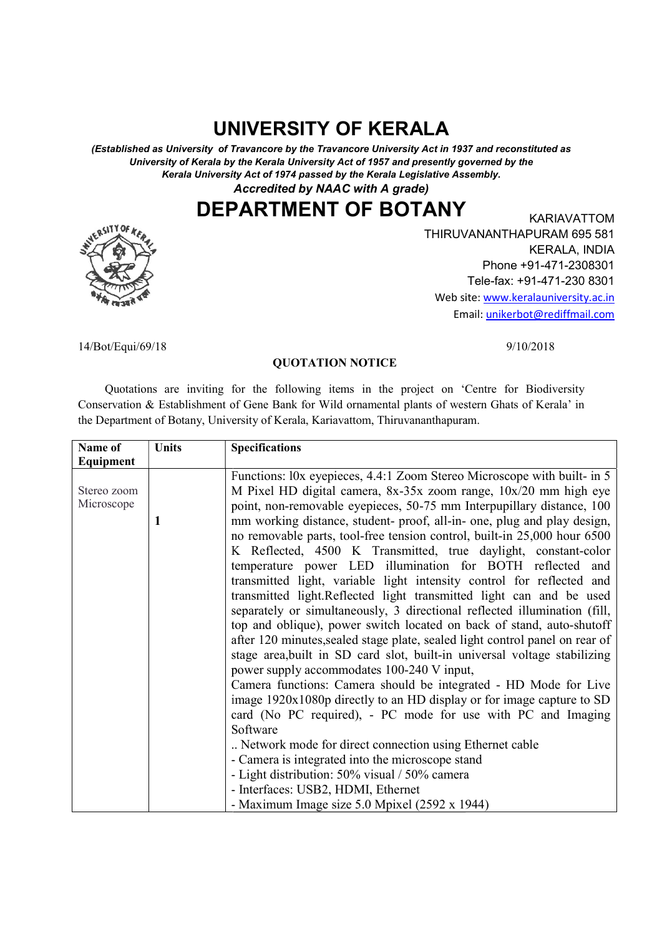# UNIVERSITY OF KERALA

(Established as University of Travancore by the Travancore University Act in 1937 and reconstituted as (Established as University of Travancore by the Travancore University Act in 1937 and reconstituted as University of Kerala by the Kerala University Act of 1957 and presently governed by the University of Kerala by the Kerala University Act of 1957 and presently governed by the sity of Kerala by the Kerala University Act of 1957 and presently governed by the<br>Kerala University Act of 1974 passed by the Kerala Legislative Assembly.

Accredited by NAAC with A grade)

DEPARTMENT OF BOTANY EXARIAVATTOM



THIRUVANANTHAPURAM 695 581 THIRUVANANTHAPURAM 695 581 Web site: www.keralauniversity.ac.in Email Email: unikerbot@rediffmail.comKARIAVATTOM KERALA, INDIA Phone +91-471-2308301 Tele-fax: +91-471-230 8301

9/10/2018

14/Bot/Equi/69/18

### QUOTATION NOTICE

 Quotations are inviting for the following items in the project on 'Centre for Biodiversity 'Centre for Biodiversity Conservation & Establishment of Gene Bank for Wild ornamental plants of western Ghats of Kerala' Conservation & Establishment of Gene Bank for Wild ornamental plants of western Ghats of Kerala' in Conservation & Establishment of Gene Bank for Wild ornamental plants of wester<br>the Department of Botany, University of Kerala, Kariavattom, Thiruvananthapuram.

| Equipment                                                                                                                                                                                                                                                                                                                                                                                                                                                                                                                                                                                                                                                                                                                                                                                                                                                                                                                                                                                                                                                                                                                                                                                                                                                                                                                                                                                                                                               |
|---------------------------------------------------------------------------------------------------------------------------------------------------------------------------------------------------------------------------------------------------------------------------------------------------------------------------------------------------------------------------------------------------------------------------------------------------------------------------------------------------------------------------------------------------------------------------------------------------------------------------------------------------------------------------------------------------------------------------------------------------------------------------------------------------------------------------------------------------------------------------------------------------------------------------------------------------------------------------------------------------------------------------------------------------------------------------------------------------------------------------------------------------------------------------------------------------------------------------------------------------------------------------------------------------------------------------------------------------------------------------------------------------------------------------------------------------------|
| Functions: l0x eyepieces, 4.4:1 Zoom Stereo Microscope with built- in 5<br>M Pixel HD digital camera, 8x-35x zoom range, 10x/20 mm high eye<br>Stereo zoom<br>Microscope<br>point, non-removable eyepieces, 50-75 mm Interpupillary distance, 100<br>mm working distance, student- proof, all-in- one, plug and play design,<br>1<br>no removable parts, tool-free tension control, built-in 25,000 hour 6500<br>K Reflected, 4500 K Transmitted, true daylight, constant-color<br>temperature power LED illumination for BOTH reflected and<br>transmitted light, variable light intensity control for reflected and<br>transmitted light. Reflected light transmitted light can and be used<br>separately or simultaneously, 3 directional reflected illumination (fill,<br>top and oblique), power switch located on back of stand, auto-shutoff<br>after 120 minutes, sealed stage plate, sealed light control panel on rear of<br>stage area, built in SD card slot, built-in universal voltage stabilizing<br>power supply accommodates 100-240 V input,<br>Camera functions: Camera should be integrated - HD Mode for Live<br>image 1920x1080p directly to an HD display or for image capture to SD<br>card (No PC required), - PC mode for use with PC and Imaging<br>Software<br>Network mode for direct connection using Ethernet cable<br>- Camera is integrated into the microscope stand<br>- Light distribution: 50% visual / 50% camera |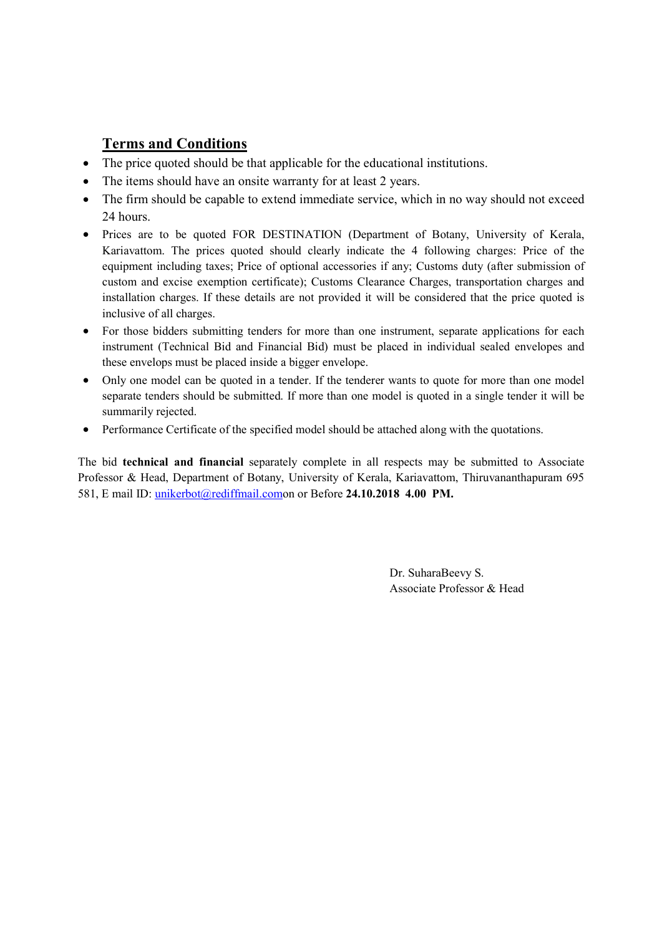### Terms and Conditions

- The price quoted should be that applicable for the educational institutions.
- The items should have an onsite warranty for at least 2 years.
- The firm should be capable to extend immediate service, which in no way should not exceed 24 hours.
- Prices are to be quoted FOR DESTINATION (Department of Botany, University of Kerala, Kariavattom. The prices quoted should clearly indicate the 4 following charges: Price of the equipment including taxes; Price of optional accessories if any; Customs duty (after submission of custom and excise exemption certificate); Customs Clearance Charges, transportation charges and installation charges. If these details are not provided it will be considered that the price quoted is inclusive of all charges.
- For those bidders submitting tenders for more than one instrument, separate applications for each instrument (Technical Bid and Financial Bid) must be placed in individual sealed envelopes and these envelops must be placed inside a bigger envelope.
- Only one model can be quoted in a tender. If the tenderer wants to quote for more than one model separate tenders should be submitted. If more than one model is quoted in a single tender it will be summarily rejected.
- Performance Certificate of the specified model should be attached along with the quotations.

The bid technical and financial separately complete in all respects may be submitted to Associate Professor & Head, Department of Botany, University of Kerala, Kariavattom, Thiruvananthapuram 695 581, E mail ID: unikerbot@rediffmail.comon or Before 24.10.2018 4.00 PM.

> Dr. SuharaBeevy S. Associate Professor & Head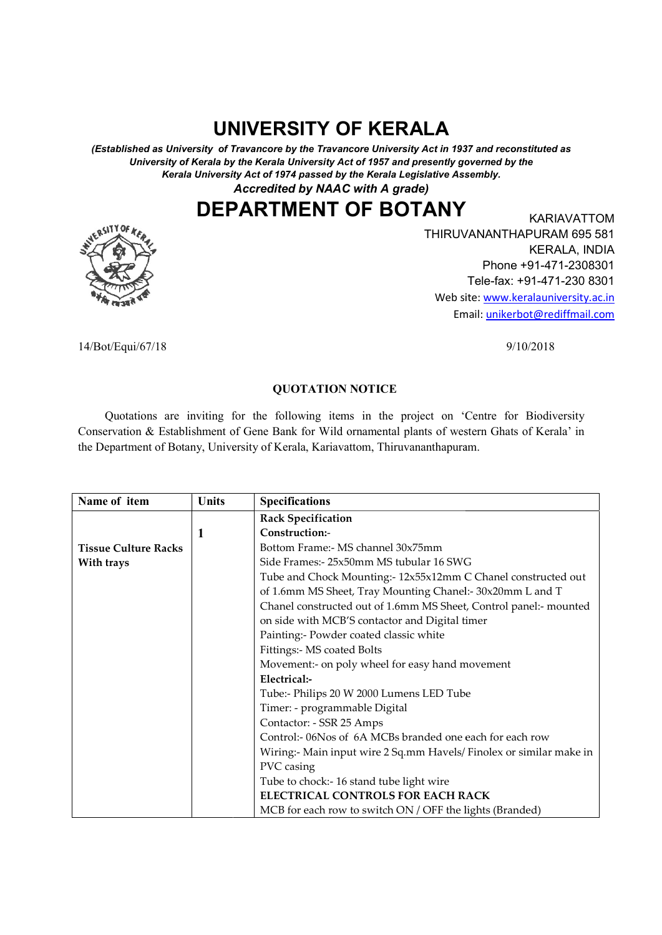# UNIVERSITY OF KERALA

(Established as University of Travancore by the Travancore University Act in 1937 and reconstituted as (Established as University of Travancore by the Travancore University Act in 1937 and reconstituted as University of Kerala by the Kerala University Act of 1957 and presently governed by the Kerala University Act of 1974 passed by the Kerala Legislative Assembly.

Accredited by NAAC with A grade)

## DEPARTMENT OF BOTANY EXARIAVATTOM



THIRUVANANTHAPURAM 695 581 THIRUVANANTHAPURAM 695 581 Web site: www.keralauniversity.ac.in Email: Email: unikerbot@rediffmail.comKARIAVATTOM KERALA, INDIA Phone +91-471-2308301 Tele-fax: +91-471-230 8301

14/Bot/Equi/67/18

9/10/2018

### QUOTATION NOTICE

 Quotations are inviting for the following items in the project on 'Centre for Biodiversity 'Centre for Biodiversity Conservation & Establishment of Gene Bank for Wild ornamental plants of western Ghats of Kerala' Conservation & Establishment of Gene Bank for Wild ornamental plants of western Ghats of Kerala' in Conservation & Establishment of Gene Bank for Wild ornamental plants of western<br>the Department of Botany, University of Kerala, Kariavattom, Thiruvananthapuram.

| Name of item                | Units | <b>Specifications</b>                                               |
|-----------------------------|-------|---------------------------------------------------------------------|
|                             |       | <b>Rack Specification</b>                                           |
|                             |       | Construction:-                                                      |
| <b>Tissue Culture Racks</b> |       | Bottom Frame:- MS channel 30x75mm                                   |
| With trays                  |       | Side Frames: - 25x50mm MS tubular 16 SWG                            |
|                             |       | Tube and Chock Mounting:- 12x55x12mm C Chanel constructed out       |
|                             |       | of 1.6mm MS Sheet, Tray Mounting Chanel:- 30x20mm L and T           |
|                             |       | Chanel constructed out of 1.6mm MS Sheet, Control panel:- mounted   |
|                             |       | on side with MCB'S contactor and Digital timer                      |
|                             |       | Painting:- Powder coated classic white                              |
|                             |       | Fittings:- MS coated Bolts                                          |
|                             |       | Movement:- on poly wheel for easy hand movement                     |
|                             |       | Electrical:-                                                        |
|                             |       | Tube:- Philips 20 W 2000 Lumens LED Tube                            |
|                             |       | Timer: - programmable Digital                                       |
|                             |       | Contactor: - SSR 25 Amps                                            |
|                             |       | Control:- 06Nos of 6A MCBs branded one each for each row            |
|                             |       | Wiring:- Main input wire 2 Sq.mm Havels/ Finolex or similar make in |
|                             |       | PVC casing                                                          |
|                             |       | Tube to chock:-16 stand tube light wire                             |
|                             |       | ELECTRICAL CONTROLS FOR EACH RACK                                   |
|                             |       | MCB for each row to switch ON / OFF the lights (Branded)            |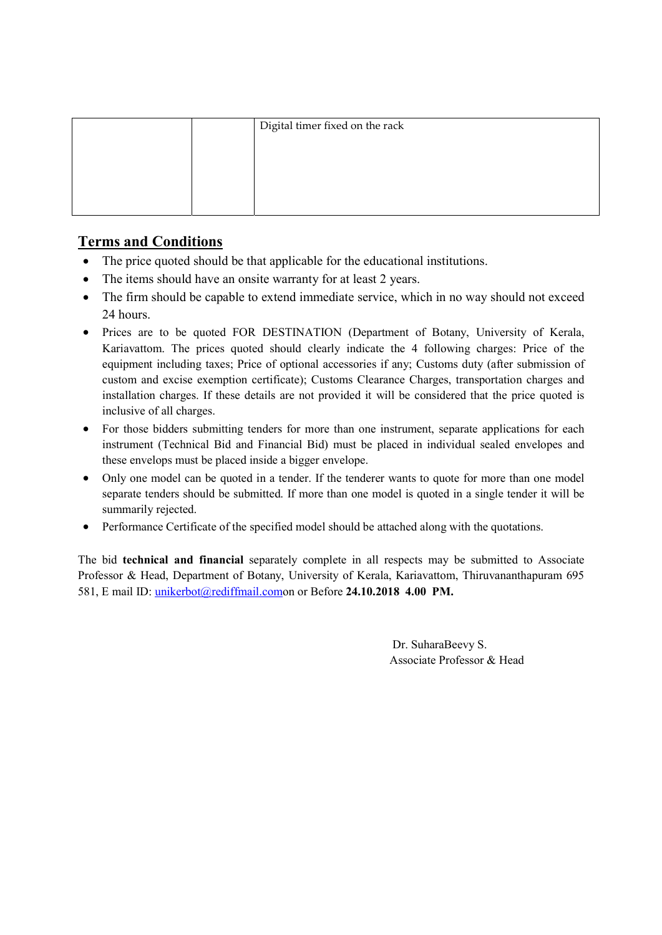|  | Digital timer fixed on the rack |
|--|---------------------------------|
|  |                                 |
|  |                                 |
|  |                                 |
|  |                                 |

## Terms and Conditions

- The price quoted should be that applicable for the educational institutions.
- The items should have an onsite warranty for at least 2 years.
- The firm should be capable to extend immediate service, which in no way should not exceed 24 hours.
- Prices are to be quoted FOR DESTINATION (Department of Botany, University of Kerala, Kariavattom. The prices quoted should clearly indicate the 4 following charges: Price of the equipment including taxes; Price of optional accessories if any; Customs duty (after submission of custom and excise exemption certificate); Customs Clearance Charges, transportation charges and installation charges. If these details are not provided it will be considered that the price quoted is inclusive of all charges.
- For those bidders submitting tenders for more than one instrument, separate applications for each instrument (Technical Bid and Financial Bid) must be placed in individual sealed envelopes and these envelops must be placed inside a bigger envelope.
- Only one model can be quoted in a tender. If the tenderer wants to quote for more than one model separate tenders should be submitted. If more than one model is quoted in a single tender it will be summarily rejected.
- Performance Certificate of the specified model should be attached along with the quotations.

The bid technical and financial separately complete in all respects may be submitted to Associate Professor & Head, Department of Botany, University of Kerala, Kariavattom, Thiruvananthapuram 695 581, E mail ID: unikerbot@rediffmail.comon or Before 24.10.2018 4.00 PM.

> Dr. SuharaBeevy S. Associate Professor & Head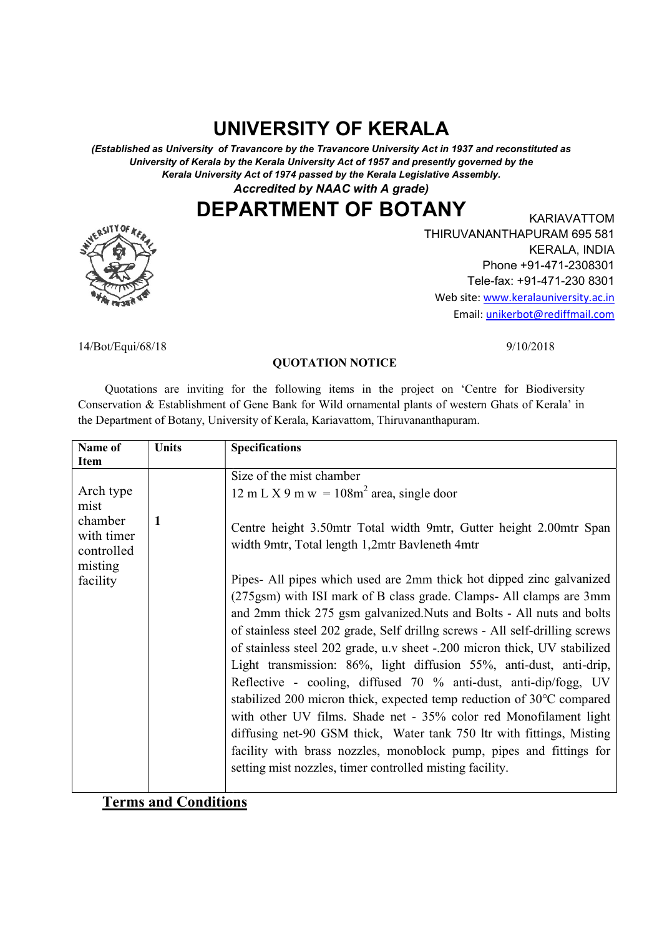# UNIVERSITY OF KERALA

(Established as University of Travancore by the Travancore University Act in 1937 and reconstituted as (Established as University of Travancore by the Travancore University Act in 1937 and reconstituted as University of Kerala by the Kerala University Act of 1957 and presently governed by the University of Kerala by the Kerala University Act of 1957 and presently governed by the sity of Kerala by the Kerala University Act of 1957 and presently governed by the<br>Kerala University Act of 1974 passed by the Kerala Legislative Assembly.

Accredited by NAAC with A grade)

DEPARTMENT OF BOTANY EXARIAVATTOM



THIRUVANANTHAPURAM 695 581 THIRUVANANTHAPURAM 695 581 Web site: www.keralauniversity.ac.in Email: Email: unikerbot@rediffmail.comKARIAVATTOM KERALA, INDIA Phone +91-471-2308301 Tele-fax: +91-471-230 8301

9/10/2018

14/Bot/Equi/68/18

### QUOTATION NOTICE

 Quotations are inviting for the following items in the project on 'Centre for Biodiversity 'Centre for Biodiversity Conservation & Establishment of Gene Bank for Wild ornamental plants of western Ghats of Kerala' in Conservation & Establishment of Gene Bank for Wild ornamental plants of wester<br>the Department of Botany, University of Kerala, Kariavattom, Thiruvananthapuram.

| Name of<br>Item                                | <b>Units</b> | <b>Specifications</b>                                                                                                                                                                                                                                                                                                                                                                                                                                                                                                                                                                                                                                                                                                                                                                                                                                                                             |
|------------------------------------------------|--------------|---------------------------------------------------------------------------------------------------------------------------------------------------------------------------------------------------------------------------------------------------------------------------------------------------------------------------------------------------------------------------------------------------------------------------------------------------------------------------------------------------------------------------------------------------------------------------------------------------------------------------------------------------------------------------------------------------------------------------------------------------------------------------------------------------------------------------------------------------------------------------------------------------|
|                                                |              | Size of the mist chamber                                                                                                                                                                                                                                                                                                                                                                                                                                                                                                                                                                                                                                                                                                                                                                                                                                                                          |
| Arch type<br>mist                              |              | 12 m L X 9 m w = $108m2$ area, single door                                                                                                                                                                                                                                                                                                                                                                                                                                                                                                                                                                                                                                                                                                                                                                                                                                                        |
| chamber<br>with timer<br>controlled<br>misting | 1            | Centre height 3.50mtr Total width 9mtr, Gutter height 2.00mtr Span<br>width 9mtr, Total length 1,2mtr Bavleneth 4mtr                                                                                                                                                                                                                                                                                                                                                                                                                                                                                                                                                                                                                                                                                                                                                                              |
| facility                                       |              | Pipes- All pipes which used are 2mm thick hot dipped zinc galvanized<br>(275gsm) with ISI mark of B class grade. Clamps- All clamps are 3mm<br>and 2mm thick 275 gsm galvanized. Nuts and Bolts - All nuts and bolts<br>of stainless steel 202 grade, Self drilling screws - All self-drilling screws<br>of stainless steel 202 grade, u.v sheet -.200 micron thick, UV stabilized<br>Light transmission: 86%, light diffusion 55%, anti-dust, anti-drip,<br>Reflective - cooling, diffused 70 % anti-dust, anti-dip/fogg, UV<br>stabilized 200 micron thick, expected temp reduction of $30^{\circ}$ C compared<br>with other UV films. Shade net - 35% color red Monofilament light<br>diffusing net-90 GSM thick, Water tank 750 ltr with fittings, Misting<br>facility with brass nozzles, monoblock pump, pipes and fittings for<br>setting mist nozzles, timer controlled misting facility. |

Terms and Conditions